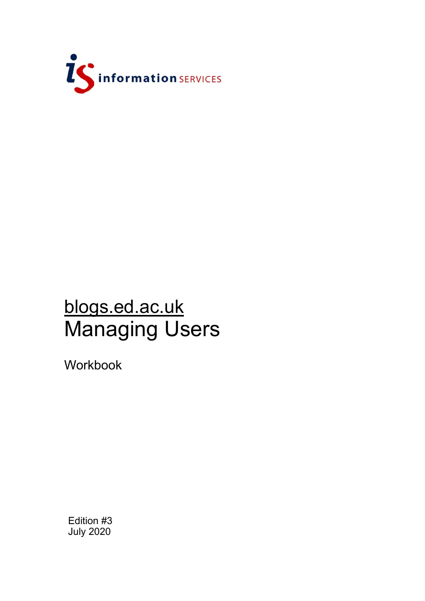

# blogs.ed.ac.uk Managing Users

Workbook

Edition #3 July 2020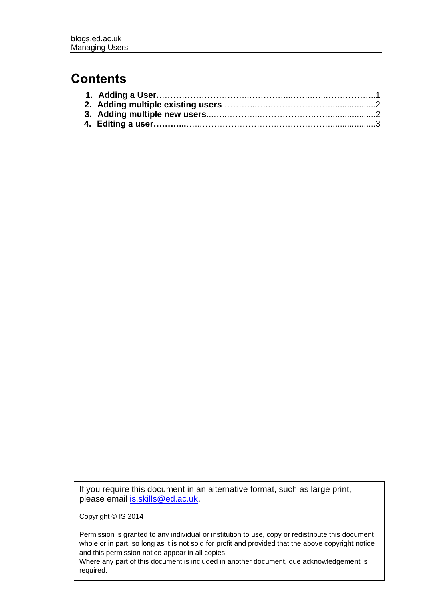# **Contents**

If you require this document in an alternative format, such as large print, please email [is.skills@ed.ac.uk.](mailto:is.skills@ed.ac.uk)

Copyright © IS 2014

Permission is granted to any individual or institution to use, copy or redistribute this document whole or in part, so long as it is not sold for profit and provided that the above copyright notice and this permission notice appear in all copies.

Where any part of this document is included in another document, due acknowledgement is required.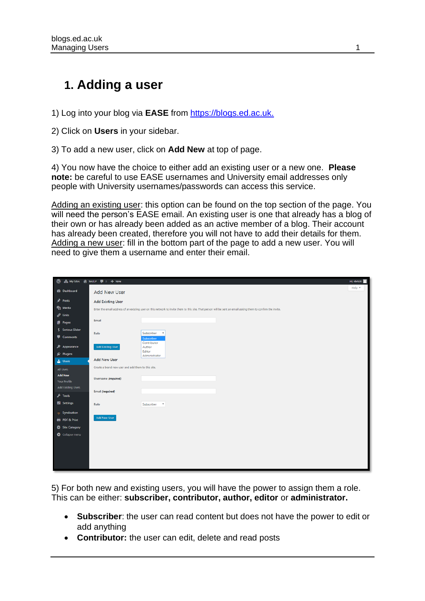# **1. Adding a user**

1) Log into your blog via **EASE** from [https://blogs.ed.ac.uk.](https://blogs.ed.ac.uk/)

2) Click on **Users** in your sidebar.

3) To add a new user, click on **Add New** at top of page.

4) You now have the choice to either add an existing user or a new one. **Please note:** be careful to use EASE usernames and University email addresses only people with University usernames/passwords can access this service.

Adding an existing user: this option can be found on the top section of the page. You will need the person's EASE email. An existing user is one that already has a blog of their own or has already been added as an active member of a blog. Their account has already been created, therefore you will not have to add their details for them. Adding a new user: fill in the bottom part of the page to add a new user. You will need to give them a username and enter their email.

| 1 4 My Sites 含 TestLP 厚 0 + New                                        |                                                                                                                                                               |                              | Hi, vletst6               |
|------------------------------------------------------------------------|---------------------------------------------------------------------------------------------------------------------------------------------------------------|------------------------------|---------------------------|
| <b>Co</b> Dashboard                                                    | Add New User                                                                                                                                                  |                              | Help $\blacktriangledown$ |
| $x^*$ Posts                                                            | <b>Add Existing User</b>                                                                                                                                      |                              |                           |
| <b>P1</b> Media                                                        | Enter the email address of an existing user on this network to invite them to this site. That person will be sent an email asking them to confirm the invite. |                              |                           |
| $\mathscr{O}$ Links                                                    |                                                                                                                                                               |                              |                           |
| Pages                                                                  | Email                                                                                                                                                         |                              |                           |
| Serious Slider                                                         | Role                                                                                                                                                          | Subscriber<br>$\blacksquare$ |                           |
| Comments                                                               |                                                                                                                                                               | Subscriber<br>Contributor    |                           |
| Appearance                                                             | <b>Add Existing User</b>                                                                                                                                      | Author                       |                           |
| Plugins                                                                |                                                                                                                                                               | Editor<br>Administrator      |                           |
| <b>L</b> Users                                                         | <b>Add New User</b>                                                                                                                                           |                              |                           |
| Create a brand new user and add them to this site.<br><b>All Users</b> |                                                                                                                                                               |                              |                           |
| <b>Add New</b>                                                         | Username (required)                                                                                                                                           |                              |                           |
| <b>Your Profile</b><br><b>Add Existing Users</b>                       |                                                                                                                                                               |                              |                           |
|                                                                        | Email (required)                                                                                                                                              |                              |                           |
| $\sqrt{100}$                                                           |                                                                                                                                                               |                              |                           |
| <b>En</b> Settings                                                     | Role                                                                                                                                                          | Subscriber <b>v</b>          |                           |
| $\Rightarrow$ Syndication                                              |                                                                                                                                                               |                              |                           |
| <b>PDF &amp; Print</b>                                                 | Add New User                                                                                                                                                  |                              |                           |
| Site Category                                                          |                                                                                                                                                               |                              |                           |
| Collapse menu                                                          |                                                                                                                                                               |                              |                           |
|                                                                        |                                                                                                                                                               |                              |                           |
|                                                                        |                                                                                                                                                               |                              |                           |
|                                                                        |                                                                                                                                                               |                              |                           |
|                                                                        |                                                                                                                                                               |                              |                           |

5) For both new and existing users, you will have the power to assign them a role. This can be either: **subscriber, contributor, author, editor** or **administrator.**

- **Subscriber**: the user can read content but does not have the power to edit or add anything
- **Contributor:** the user can edit, delete and read posts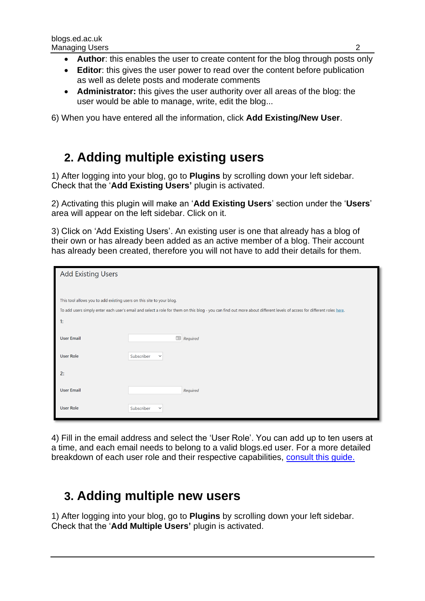- **Author**: this enables the user to create content for the blog through posts only
- **Editor**: this gives the user power to read over the content before publication as well as delete posts and moderate comments
- **Administrator:** this gives the user authority over all areas of the blog: the user would be able to manage, write, edit the blog...

6) When you have entered all the information, click **Add Existing/New User**.

## **2. Adding multiple existing users**

1) After logging into your blog, go to **Plugins** by scrolling down your left sidebar. Check that the '**Add Existing Users'** plugin is activated.

2) Activating this plugin will make an '**Add Existing Users**' section under the '**Users**' area will appear on the left sidebar. Click on it.

3) Click on 'Add Existing Users'. An existing user is one that already has a blog of their own or has already been added as an active member of a blog. Their account has already been created, therefore you will not have to add their details for them.

| <b>Add Existing Users</b>                                                                                                                                              |                            |  |  |  |  |  |
|------------------------------------------------------------------------------------------------------------------------------------------------------------------------|----------------------------|--|--|--|--|--|
|                                                                                                                                                                        |                            |  |  |  |  |  |
| This tool allows you to add existing users on this site to your blog.                                                                                                  |                            |  |  |  |  |  |
| To add users simply enter each user's email and select a role for them on this blog - you can find out more about different levels of access for different roles here. |                            |  |  |  |  |  |
| 1:                                                                                                                                                                     |                            |  |  |  |  |  |
| <b>User Email</b>                                                                                                                                                      | $\Box$ Required            |  |  |  |  |  |
| <b>User Role</b>                                                                                                                                                       | Subscriber<br>$\checkmark$ |  |  |  |  |  |
| 2:                                                                                                                                                                     |                            |  |  |  |  |  |
| <b>User Email</b>                                                                                                                                                      | Required                   |  |  |  |  |  |
| <b>User Role</b>                                                                                                                                                       | Subscriber<br>$\checkmark$ |  |  |  |  |  |

4) Fill in the email address and select the 'User Role'. You can add up to ten users at a time, and each email needs to belong to a valid blogs.ed user. For a more detailed breakdown of each user role and their respective capabilities, [consult this guide.](http://help.edublogs.org/what-are-the-different-roles-of-users/) 

# **3. Adding multiple new users**

1) After logging into your blog, go to **Plugins** by scrolling down your left sidebar. Check that the '**Add Multiple Users'** plugin is activated.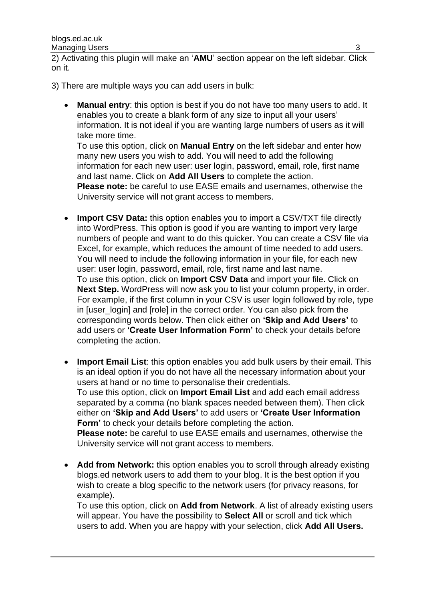2) Activating this plugin will make an '**AMU**' section appear on the left sidebar. Click on it.

- 3) There are multiple ways you can add users in bulk:
	- **Manual entry**: this option is best if you do not have too many users to add. It enables you to create a blank form of any size to input all your users' information. It is not ideal if you are wanting large numbers of users as it will take more time.

To use this option, click on **Manual Entry** on the left sidebar and enter how many new users you wish to add. You will need to add the following information for each new user: user login, password, email, role, first name and last name. Click on **Add All Users** to complete the action. **Please note:** be careful to use EASE emails and usernames, otherwise the

University service will not grant access to members.

- **Import CSV Data:** this option enables you to import a CSV/TXT file directly into WordPress. This option is good if you are wanting to import very large numbers of people and want to do this quicker. You can create a CSV file via Excel, for example, which reduces the amount of time needed to add users. You will need to include the following information in your file, for each new user: user login, password, email, role, first name and last name. To use this option, click on **Import CSV Data** and import your file. Click on **Next Step.** WordPress will now ask you to list your column property, in order. For example, if the first column in your CSV is user login followed by role, type in [user\_login] and [role] in the correct order. You can also pick from the corresponding words below. Then click either on **'Skip and Add Users'** to add users or **'Create User Information Form'** to check your details before completing the action.
- **Import Email List**: this option enables you add bulk users by their email. This is an ideal option if you do not have all the necessary information about your users at hand or no time to personalise their credentials. To use this option, click on **Import Email List** and add each email address separated by a comma (no blank spaces needed between them). Then click either on **'Skip and Add Users'** to add users or **'Create User Information Form'** to check your details before completing the action. **Please note:** be careful to use EASE emails and usernames, otherwise the University service will not grant access to members.
- **Add from Network:** this option enables you to scroll through already existing blogs.ed network users to add them to your blog. It is the best option if you wish to create a blog specific to the network users (for privacy reasons, for example).

To use this option, click on **Add from Network**. A list of already existing users will appear. You have the possibility to **Select All** or scroll and tick which users to add. When you are happy with your selection, click **Add All Users.**